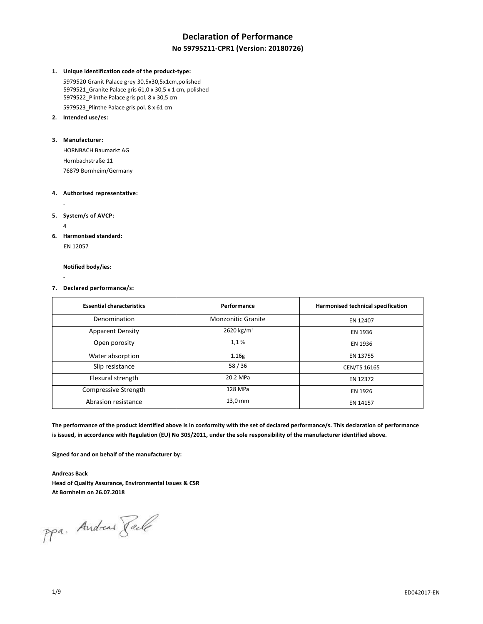# **Declaration of Performance**

## **No 59795211-CPR1 (Version: 20180726)**

#### **1. Unique identification code of the product-type:**

5979520 Granit Palace grey 30,5x30,5x1cm,polished 5979521\_Granite Palace gris 61,0 x 30,5 x 1 cm, polished 5979522\_Plinthe Palace gris pol. 8 x 30,5 cm 5979523\_Plinthe Palace gris pol. 8 x 61 cm

**2. Intended use/es:**

#### **3. Manufacturer:**

HORNBACH Baumarkt AG Hornbachstraße 11 76879 Bornheim/Germany

#### **4. Authorised representative:**

**5. System/s of AVCP:**

4

-

**6. Harmonised standard:**

EN 12057

**Notified body/ies:**

- **7. Declared performance/s:**

| <b>Essential characteristics</b> | Performance            | Harmonised technical specification |
|----------------------------------|------------------------|------------------------------------|
| Denomination                     | Monzonitic Granite     | EN 12407                           |
| <b>Apparent Density</b>          | 2620 kg/m <sup>3</sup> | EN 1936                            |
| Open porosity                    | 1,1%                   | EN 1936                            |
| Water absorption                 | 1.16g                  | EN 13755                           |
| Slip resistance                  | 58/36                  | CEN/TS 16165                       |
| Flexural strength                | 20.2 MPa               | EN 12372                           |
| Compressive Strength             | 128 MPa                | EN 1926                            |
| Abrasion resistance              | 13,0 mm                | EN 14157                           |

**The performance of the product identified above is in conformity with the set of declared performance/s. This declaration of performance is issued, in accordance with Regulation (EU) No 305/2011, under the sole responsibility of the manufacturer identified above.**

**Signed for and on behalf of the manufacturer by:**

**Andreas Back Head of Quality Assurance, Environmental Issues & CSR At Bornheim on 26.07.2018**

ppa. Andread Faile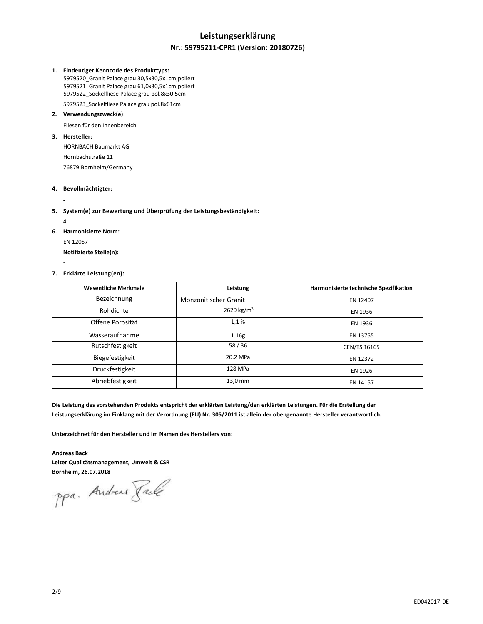## **Leistungserklärung**

### **Nr.: 59795211-CPR1 (Version: 20180726)**

#### **1. Eindeutiger Kenncode des Produkttyps:**

 5979520\_Granit Palace grau 30,5x30,5x1cm,poliert 5979521\_Granit Palace grau 61,0x30,5x1cm,poliert 5979522\_Sockelfliese Palace grau pol.8x30.5cm

5979523\_Sockelfliese Palace grau pol.8x61cm

## **2. Verwendungszweck(e):**

Fliesen für den Innenbereich

### **3. Hersteller:**

HORNBACH Baumarkt AG Hornbachstraße 11 76879 Bornheim/Germany

#### **4. Bevollmächtigter:**

### **5. System(e) zur Bewertung und Überprüfung der Leistungsbeständigkeit:**

4

-

**-**

**6. Harmonisierte Norm:** EN 12057 **Notifizierte Stelle(n):**

### **7. Erklärte Leistung(en):**

| <b>Wesentliche Merkmale</b> | Leistung                     | Harmonisierte technische Spezifikation |
|-----------------------------|------------------------------|----------------------------------------|
| Bezeichnung                 | <b>Monzonitischer Granit</b> | EN 12407                               |
| Rohdichte                   | 2620 kg/m <sup>3</sup>       | EN 1936                                |
| Offene Porosität            | 1,1%                         | EN 1936                                |
| Wasseraufnahme              | 1.16g                        | EN 13755                               |
| Rutschfestigkeit            | 58/36                        | <b>CEN/TS 16165</b>                    |
| Biegefestigkeit             | 20.2 MPa                     | EN 12372                               |
| Druckfestigkeit             | 128 MPa                      | EN 1926                                |
| Abriebfestigkeit            | 13,0 mm                      | EN 14157                               |

**Die Leistung des vorstehenden Produkts entspricht der erklärten Leistung/den erklärten Leistungen. Für die Erstellung der Leistungserklärung im Einklang mit der Verordnung (EU) Nr. 305/2011 ist allein der obengenannte Hersteller verantwortlich.**

**Unterzeichnet für den Hersteller und im Namen des Herstellers von:**

**Andreas Back Leiter Qualitätsmanagement, Umwelt & CSR**

**Bornheim, 26.07.2018**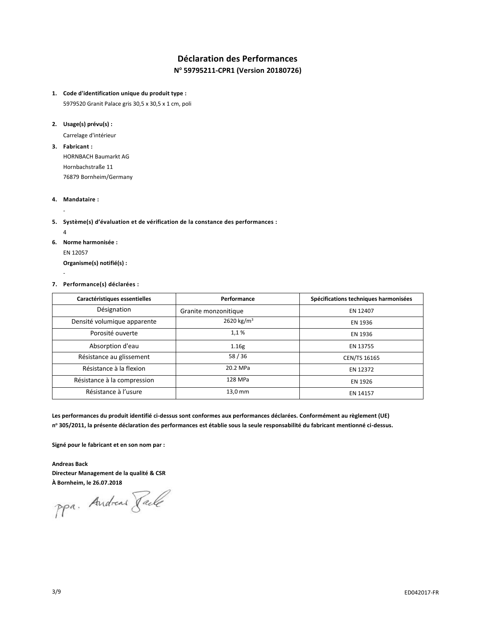## **Déclaration des Performances N <sup>o</sup> 59795211-CPR1 (Version 20180726)**

#### **1. Code d'identification unique du produit type :**

5979520 Granit Palace gris 30,5 x 30,5 x 1 cm, poli

#### **2. Usage(s) prévu(s) :**

Carrelage d'intérieur

**3. Fabricant :**

HORNBACH Baumarkt AG Hornbachstraße 11 76879 Bornheim/Germany

#### **4. Mandataire :**

## **5. Système(s) d'évaluation et de vérification de la constance des performances :**

4

-

-

**6. Norme harmonisée :**

EN 12057

**Organisme(s) notifié(s) :**

#### **7. Performance(s) déclarées :**

| Caractéristiques essentielles | Performance            | Spécifications techniques harmonisées |
|-------------------------------|------------------------|---------------------------------------|
| Désignation                   | Granite monzonitique   | EN 12407                              |
| Densité volumique apparente   | 2620 kg/m <sup>3</sup> | EN 1936                               |
| Porosité ouverte              | 1,1%                   | EN 1936                               |
| Absorption d'eau              | 1.16g                  | EN 13755                              |
| Résistance au glissement      | 58/36                  | <b>CEN/TS 16165</b>                   |
| Résistance à la flexion       | 20.2 MPa               | EN 12372                              |
| Résistance à la compression   | 128 MPa                | EN 1926                               |
| Résistance à l'usure          | 13.0 mm                | EN 14157                              |

**Les performances du produit identifié ci-dessus sont conformes aux performances déclarées. Conformément au règlement (UE) n <sup>o</sup> 305/2011, la présente déclaration des performances est établie sous la seule responsabilité du fabricant mentionné ci-dessus.**

**Signé pour le fabricant et en son nom par :**

**Andreas Back Directeur Management de la qualité & CSR**

**À Bornheim, le 26.07.2018**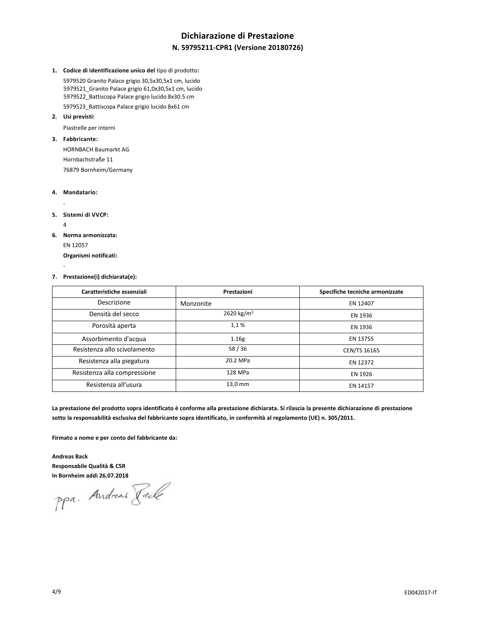## **Dichiarazione di Prestazione N. 59795211-CPR1 (Versione 20180726)**

**1. Codice di identificazione unico del** tipo di prodotto**:**

5979520 Granito Palace grigio 30,5x30,5x1 cm, lucido 5979521\_Granito Palace grigio 61,0x30,5x1 cm, lucido 5979522\_Battiscopa Palace grigio lucido 8x30.5 cm 5979523\_Battiscopa Palace grigio lucido 8x61 cm

**2. Usi previsti:**

Piastrelle per interni

**3. Fabbricante:**

HORNBACH Baumarkt AG Hornbachstraße 11 76879 Bornheim/Germany

#### **4. Mandatario:**

-

- **5. Sistemi di VVCP:**
	- 4

-

- **6. Norma armonizzata:**
	- EN 12057

**Organismi notificati:**

#### **7. Prestazione(i) dichiarata(e):**

| Caratteristiche essenziali   | Prestazioni            | Specifiche tecniche armonizzate |
|------------------------------|------------------------|---------------------------------|
| Descrizione                  | Monzonite              | EN 12407                        |
| Densità del secco            | 2620 kg/m <sup>3</sup> | EN 1936                         |
| Porosità aperta              | 1,1%                   | EN 1936                         |
| Assorbimento d'acqua         | 1.16g                  | EN 13755                        |
| Resistenza allo scivolamento | 58/36                  | CEN/TS 16165                    |
| Resistenza alla piegatura    | 20.2 MPa               | EN 12372                        |
| Resistenza alla compressione | 128 MPa                | EN 1926                         |
| Resistenza all'usura         | 13,0 mm                | EN 14157                        |

**La prestazione del prodotto sopra identificato è conforme alla prestazione dichiarata. Si rilascia la presente dichiarazione di prestazione sotto la responsabilità esclusiva del fabbricante sopra identificato, in conformità al regolamento (UE) n. 305/2011.**

**Firmato a nome e per conto del fabbricante da:**

**Andreas Back Responsabile Qualità & CSR**

**In Bornheim addì 26.07.2018**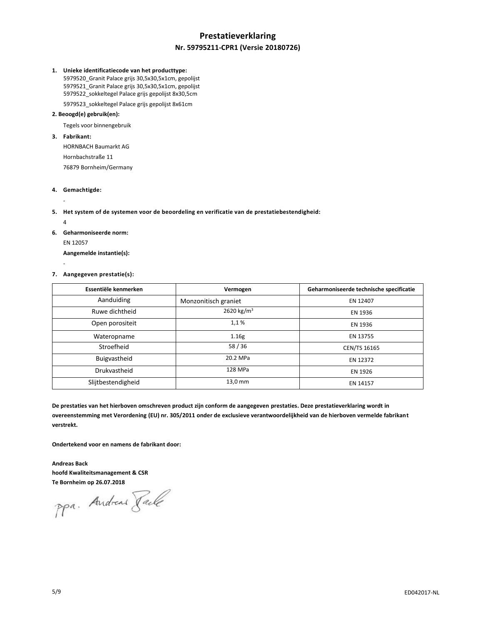## **Prestatieverklaring Nr. 59795211-CPR1 (Versie 20180726)**

#### **1. Unieke identificatiecode van het producttype:**

 5979520\_Granit Palace grijs 30,5x30,5x1cm, gepolijst 5979521\_Granit Palace grijs 30,5x30,5x1cm, gepolijst 5979522\_sokkeltegel Palace grijs gepolijst 8x30,5cm

## 5979523\_sokkeltegel Palace grijs gepolijst 8x61cm **2. Beoogd(e) gebruik(en):**

Tegels voor binnengebruik

#### **3. Fabrikant:**

HORNBACH Baumarkt AG Hornbachstraße 11 76879 Bornheim/Germany

#### **4. Gemachtigde:**

- **5. Het system of de systemen voor de beoordeling en verificatie van de prestatiebestendigheid:**
	- 4

-

-

**6. Geharmoniseerde norm:** EN 12057

**Aangemelde instantie(s):**

#### **7. Aangegeven prestatie(s):**

| Essentiële kenmerken | Vermogen               | Geharmoniseerde technische specificatie |
|----------------------|------------------------|-----------------------------------------|
| Aanduiding           | Monzonitisch graniet   | EN 12407                                |
| Ruwe dichtheid       | 2620 kg/m <sup>3</sup> | EN 1936                                 |
| Open porositeit      | 1,1%                   | EN 1936                                 |
| Wateropname          | 1.16g                  | EN 13755                                |
| Stroefheid           | 58/36                  | CEN/TS 16165                            |
| Buigvastheid         | 20.2 MPa               | EN 12372                                |
| Drukvastheid         | 128 MPa                | EN 1926                                 |
| Slijtbestendigheid   | 13,0 mm                | EN 14157                                |

**De prestaties van het hierboven omschreven product zijn conform de aangegeven prestaties. Deze prestatieverklaring wordt in overeenstemming met Verordening (EU) nr. 305/2011 onder de exclusieve verantwoordelijkheid van de hierboven vermelde fabrikant verstrekt.**

**Ondertekend voor en namens de fabrikant door:**

**Andreas Back hoofd Kwaliteitsmanagement & CSR**

**Te Bornheim op 26.07.2018**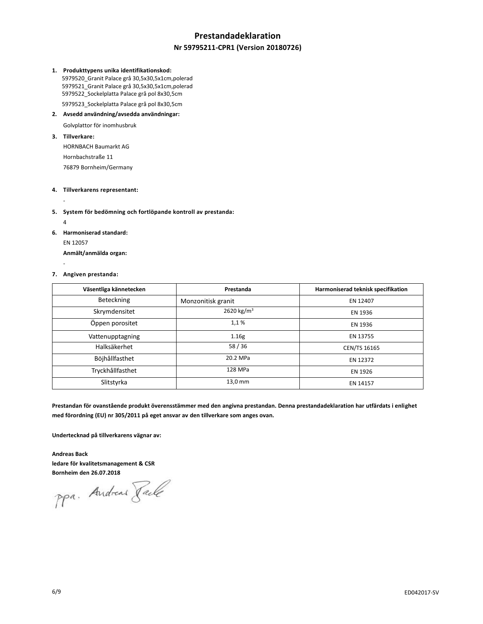## **Prestandadeklaration**

### **Nr 59795211-CPR1 (Version 20180726)**

#### **1. Produkttypens unika identifikationskod:**

 5979520\_Granit Palace grå 30,5x30,5x1cm,polerad 5979521\_Granit Palace grå 30,5x30,5x1cm,polerad 5979522\_Sockelplatta Palace grå pol 8x30,5cm 5979523\_Sockelplatta Palace grå pol 8x30,5cm

#### **2. Avsedd användning/avsedda användningar:**

Golvplattor för inomhusbruk

#### **3. Tillverkare:**

HORNBACH Baumarkt AG Hornbachstraße 11 76879 Bornheim/Germany

### **4. Tillverkarens representant:**

**5. System för bedömning och fortlöpande kontroll av prestanda:**

4

-

-

**6. Harmoniserad standard:** EN 12057 **Anmält/anmälda organ:**

#### **7. Angiven prestanda:**

| Väsentliga kännetecken | Prestanda              | Harmoniserad teknisk specifikation |
|------------------------|------------------------|------------------------------------|
| Beteckning             | Monzonitisk granit     | EN 12407                           |
| Skrymdensitet          | 2620 kg/m <sup>3</sup> | EN 1936                            |
| Öppen porositet        | 1,1%                   | EN 1936                            |
| Vattenupptagning       | 1.16g                  | EN 13755                           |
| Halksäkerhet           | 58/36                  | CEN/TS 16165                       |
| Böjhållfasthet         | 20.2 MPa               | EN 12372                           |
| Tryckhållfasthet       | 128 MPa                | EN 1926                            |
| Slitstyrka             | 13,0 mm                | EN 14157                           |

**Prestandan för ovanstående produkt överensstämmer med den angivna prestandan. Denna prestandadeklaration har utfärdats i enlighet med förordning (EU) nr 305/2011 på eget ansvar av den tillverkare som anges ovan.**

**Undertecknad på tillverkarens vägnar av:**

**Andreas Back ledare för kvalitetsmanagement & CSR**

**Bornheim den 26.07.2018**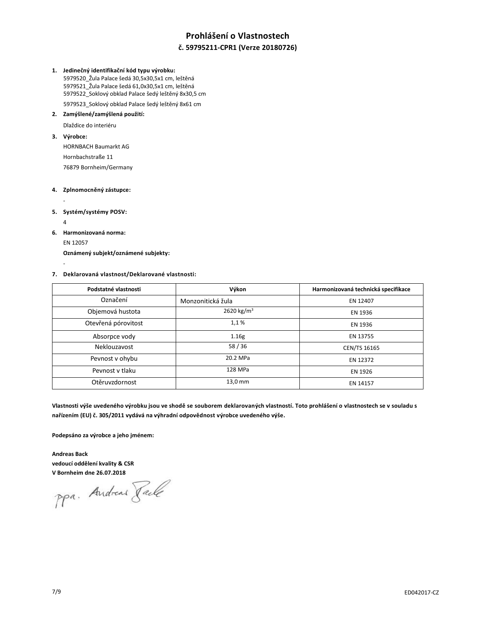## **Prohlášení o Vlastnostech**

### **č. 59795211-CPR1 (Verze 20180726)**

#### **1. Jedinečný identifikační kód typu výrobku:**

 5979520\_Žula Palace šedá 30,5x30,5x1 cm, leštěná 5979521\_Žula Palace šedá 61,0x30,5x1 cm, leštěná 5979522\_Soklový obklad Palace šedý leštěný 8x30,5 cm 5979523\_Soklový obklad Palace šedý leštěný 8x61 cm

## **2. Zamýšlené/zamýšlená použití:**

Dlaždice do interiéru

#### **3. Výrobce:**

HORNBACH Baumarkt AG Hornbachstraße 11 76879 Bornheim/Germany

### **4. Zplnomocněný zástupce:**

- **5. Systém/systémy POSV:**

4

-

- **6. Harmonizovaná norma:**
	- EN 12057

**Oznámený subjekt/oznámené subjekty:**

#### **7. Deklarovaná vlastnost/Deklarované vlastnosti:**

| Podstatné vlastnosti | Výkon                  | Harmonizovaná technická specifikace |
|----------------------|------------------------|-------------------------------------|
| Označení             | Monzonitická žula      | EN 12407                            |
| Objemová hustota     | 2620 kg/m <sup>3</sup> | EN 1936                             |
| Otevřená pórovitost  | 1,1%                   | EN 1936                             |
| Absorpce vody        | 1.16g                  | EN 13755                            |
| Neklouzavost         | 58/36                  | CEN/TS 16165                        |
| Pevnost v ohybu      | 20.2 MPa               | EN 12372                            |
| Peynost y tlaku      | 128 MPa                | EN 1926                             |
| Otěruvzdornost       | 13,0 mm                | EN 14157                            |

**Vlastnosti výše uvedeného výrobku jsou ve shodě se souborem deklarovaných vlastností. Toto prohlášení o vlastnostech se v souladu s nařízením (EU) č. 305/2011 vydává na výhradní odpovědnost výrobce uvedeného výše.**

**Podepsáno za výrobce a jeho jménem:**

**Andreas Back vedoucí oddělení kvality & CSR**

**V Bornheim dne 26.07.2018**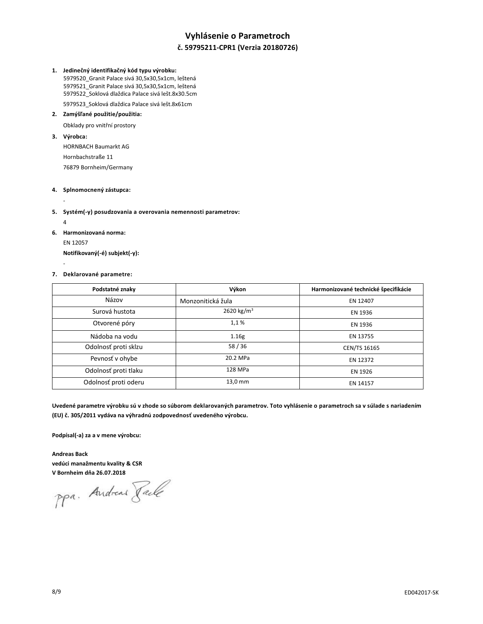## **Vyhlásenie o Parametroch**

## **č. 59795211-CPR1 (Verzia 20180726)**

#### **1. Jedinečný identifikačný kód typu výrobku:**

 5979520\_Granit Palace sivá 30,5x30,5x1cm, leštená 5979521\_Granit Palace sivá 30,5x30,5x1cm, leštená 5979522\_Soklová dlaždica Palace sivá lešt.8x30.5cm

5979523\_Soklová dlaždica Palace sivá lešt.8x61cm

## **2. Zamýšľané použitie/použitia:**

Obklady pro vnitřní prostory

### **3. Výrobca:**

HORNBACH Baumarkt AG Hornbachstraße 11 76879 Bornheim/Germany

### **4. Splnomocnený zástupca:**

**5. Systém(-y) posudzovania a overovania nemennosti parametrov:**

4

-

-

**6. Harmonizovaná norma:** EN 12057

**Notifikovaný(-é) subjekt(-y):**

#### **7. Deklarované parametre:**

| Podstatné znaky      | Výkon                  | Harmonizované technické špecifikácie |
|----------------------|------------------------|--------------------------------------|
| Názov                | Monzonitická žula      | EN 12407                             |
| Surová hustota       | 2620 kg/m <sup>3</sup> | EN 1936                              |
| Otvorené póry        | 1,1%                   | EN 1936                              |
| Nádoba na vodu       | 1.16g                  | EN 13755                             |
| Odolnosť proti sklzu | 58/36                  | CEN/TS 16165                         |
| Pevnosť v ohybe      | 20.2 MPa               | EN 12372                             |
| Odolnosť proti tlaku | 128 MPa                | EN 1926                              |
| Odolnosť proti oderu | 13,0 mm                | EN 14157                             |

**Uvedené parametre výrobku sú v zhode so súborom deklarovaných parametrov. Toto vyhlásenie o parametroch sa v súlade s nariadením (EU) č. 305/2011 vydáva na výhradnú zodpovednosť uvedeného výrobcu.**

**Podpísal(-a) za a v mene výrobcu:**

**Andreas Back vedúci manažmentu kvality & CSR**

**V Bornheim dňa 26.07.2018**